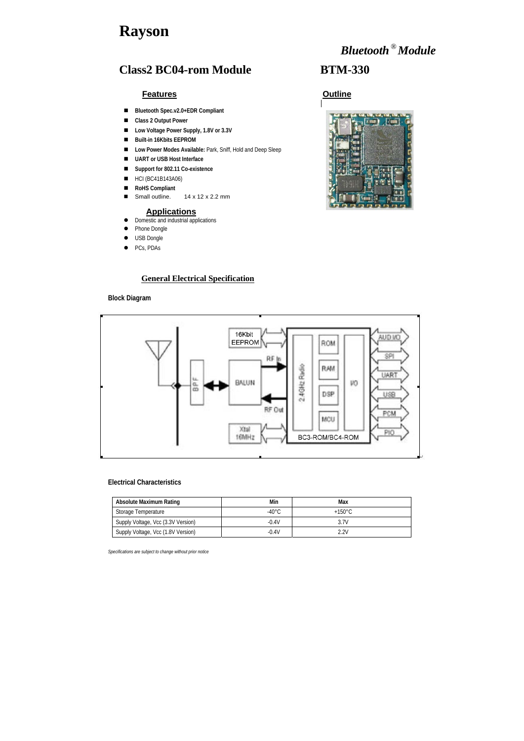# **Rayson**

# *Bluetooth* **®***Module*



## **Class2 BC04-rom Module BTM-330**

### **Features Outline**

#### **General Electrical Specification**

### **Block Diagram**



#### **Electrical Characteristics**

- **Bluetooth Spec.v2.0+EDR Compliant**
- Class 2 Output Power
- Low Voltage Power Supply, 1.8V or 3.3V
- **Built-in 16Kbits EEPROM**
- **Low Power Modes Available: Park, Sniff, Hold and Deep Sleep**
- **UART or USB Host Interface**
- **Support for 802.11 Co-existence**
- HCI (BC41B143A06)
- RoHS Compliant
- Small outline. 14 x 12 x 2.2 mm

| <b>Absolute Maximum Rating</b>     | Min              | Max              |
|------------------------------------|------------------|------------------|
| Storage Temperature                | -40 $^{\circ}$ C | $+150^{\circ}$ C |
| Supply Voltage, Vcc (3.3V Version) | $-0.4V$          | 3.7V             |
| Supply Voltage, Vcc (1.8V Version) | $-0.4V$          | 2.2V             |

### **Applications**

- Domestic and industrial applications
- Phone Dongle
- $\bullet$  USB Dongle
- $\bullet$  PCs, PDAs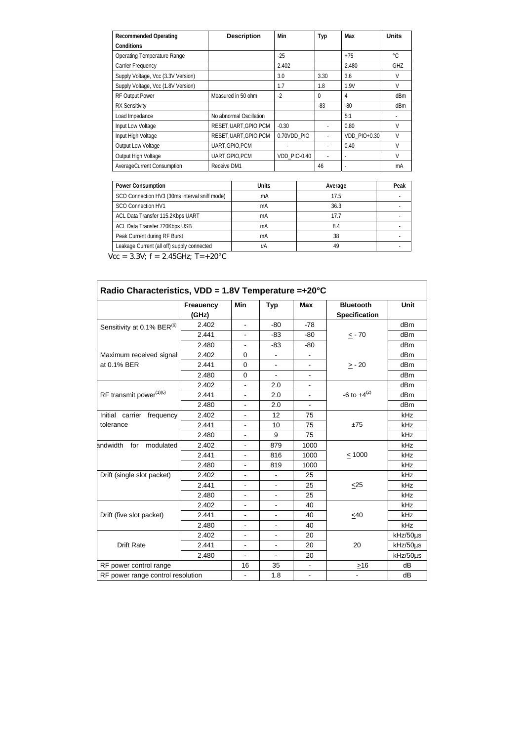| <b>Recommended Operating</b>       | <b>Description</b>      | Min          | Typ      | Max                      | <b>Units</b> |
|------------------------------------|-------------------------|--------------|----------|--------------------------|--------------|
| Conditions                         |                         |              |          |                          |              |
| <b>Operating Temperature Range</b> |                         | $-25$        |          | $+75$                    | $^{\circ}C$  |
| <b>Carrier Frequency</b>           |                         | 2.402        |          | 2.480                    | GHZ          |
| Supply Voltage, Vcc (3.3V Version) |                         | 3.0          | 3.30     | 3.6                      | V            |
| Supply Voltage, Vcc (1.8V Version) |                         | 1.7          | 1.8      | 1.9V                     | V            |
| <b>RF Output Power</b>             | Measured in 50 ohm      | $-2$         | $\Omega$ | 4                        | dBm          |
| <b>RX Sensitivity</b>              |                         |              | $-83$    | $-80$                    | dBm          |
| Load Impedance                     | No abnormal Oscillation |              |          | 5:1                      |              |
| Input Low Voltage                  | RESET, UART, GPIO, PCM  | $-0.30$      |          | 0.80                     | V            |
| Input High Voltage                 | RESET, UART, GPIO, PCM  | 0.70VDD_PIO  |          | VDD_PIO+0.30             | V            |
| Output Low Voltage                 | UART, GPIO, PCM         |              |          | 0.40                     | V            |
| Output High Voltage                | UART, GPIO, PCM         | VDD_PIO-0.40 |          | $\overline{\phantom{a}}$ | V            |
| AverageCurrent Consumption         | Receive DM1             |              | 46       |                          | mA           |

| <b>Power Consumption</b>                      | Units | Average | Peak |
|-----------------------------------------------|-------|---------|------|
| SCO Connection HV3 (30ms interval sniff mode) | .mA   | 17.5    |      |
| <b>SCO Connection HV1</b>                     | mA    | 36.3    |      |
| ACL Data Transfer 115.2Kbps UART              | mA    | 17.7    |      |
| ACL Data Transfer 720Kbps USB                 | mA    | 8.4     |      |
| Peak Current during RF Burst                  | mA    | 38      |      |
| Leakage Current (all off) supply connected    | иA    | 49      |      |

 $Vcc = 3.3V; f = 2.45GHz; T = +20°C$ 

|                                        | <b>Freauency</b> | Min                      | <b>Typ</b>               | <b>Max</b>               | <b>Bluetooth</b>     | Unit     |
|----------------------------------------|------------------|--------------------------|--------------------------|--------------------------|----------------------|----------|
|                                        | (GHz)            |                          |                          |                          | <b>Specification</b> |          |
| Sensitivity at 0.1% BER <sup>(6)</sup> | 2.402            | $\overline{\phantom{a}}$ | $-80$                    | $-78$                    |                      | dBm      |
|                                        | 2.441            |                          | $-83$                    | $-80$                    | $\leq$ - 70          | dBm      |
|                                        | 2.480            | $\overline{\phantom{a}}$ | $-83$                    | $-80$                    |                      | dBm      |
| Maximum received signal                | 2.402            | $\mathbf 0$              |                          |                          |                      | dBm      |
| at 0.1% BER                            | 2.441            | $\mathbf 0$              | $\overline{\phantom{a}}$ |                          | $\geq$ - 20          | dBm      |
|                                        | 2.480            | $\overline{0}$           | $\blacksquare$           |                          |                      | dBm      |
|                                        | 2.402            |                          | 2.0                      | $\overline{\phantom{a}}$ |                      | dBm      |
| RF transmit power(1)(6)                | 2.441            |                          | 2.0                      |                          | -6 to $+4^{(2)}$     | dBm      |
|                                        | 2.480            |                          | 2.0                      | $\overline{\phantom{a}}$ |                      | dBm      |
| Initial carrier frequency              | 2.402            |                          | 12                       | 75                       |                      | kHz      |
| tolerance                              | 2.441            |                          | 10                       | 75                       | ±75                  | kHz      |
|                                        | 2.480            | $\blacksquare$           | 9                        | 75                       |                      | kHz      |
| andwidth for<br>modulated              | 2.402            |                          | 879                      | 1000                     |                      | kHz      |
|                                        | 2.441            |                          | 816                      | 1000                     | $\leq 1000$          | kHz      |
|                                        | 2.480            |                          | 819                      | 1000                     |                      | kHz      |
| Drift (single slot packet)             | 2.402            |                          | $\overline{\phantom{a}}$ | 25                       |                      | kHz      |
|                                        | 2.441            |                          |                          | 25                       | $\leq$ 25            | kHz      |
|                                        | 2.480            |                          | $\blacksquare$           | 25                       |                      | kHz      |
|                                        | 2.402            |                          |                          | 40                       |                      | kHz      |
| Drift (five slot packet)               | 2.441            | $\overline{\phantom{a}}$ | $\overline{\phantom{a}}$ | 40                       | $\leq 40$            | kHz      |
|                                        | 2.480            |                          |                          | 40                       |                      | kHz      |
| <b>Drift Rate</b>                      | 2.402            | $\blacksquare$           | $\overline{\phantom{a}}$ | 20                       |                      | kHz/50µs |
|                                        | 2.441            |                          |                          | 20                       | 20                   | kHz/50µs |
|                                        | 2.480            | $\overline{\phantom{a}}$ | $\overline{\phantom{a}}$ | 20                       |                      | kHz/50µs |
| RF power control range                 |                  | 16                       | 35                       |                          | $\geq 16$            | dB       |
| RF power range control resolution      |                  | $\blacksquare$           | 1.8                      | $\overline{\phantom{a}}$ |                      | dB       |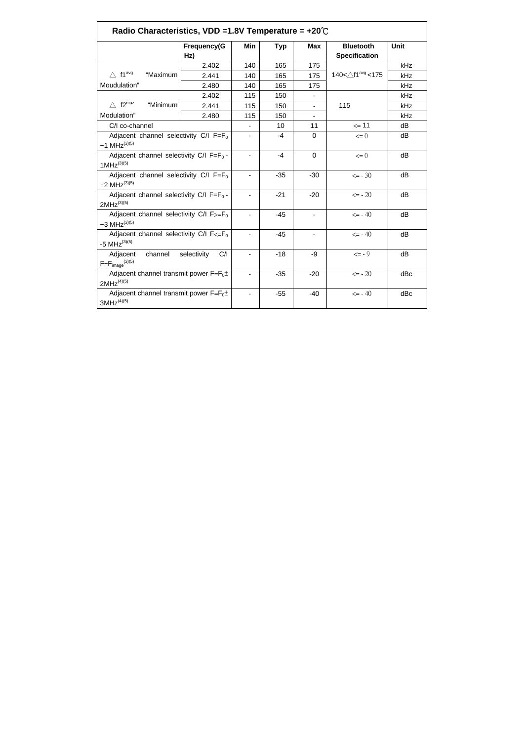| Radio Characteristics, VDD =1.8V Temperature = $+20^{\circ}$ C                  |                          |       |                          |                          |                                         |             |
|---------------------------------------------------------------------------------|--------------------------|-------|--------------------------|--------------------------|-----------------------------------------|-------------|
|                                                                                 | <b>Frequency(G</b>       | Min   | <b>Typ</b>               | <b>Max</b>               | <b>Bluetooth</b>                        | <b>Unit</b> |
|                                                                                 | Hz)                      |       |                          |                          | <b>Specification</b>                    |             |
|                                                                                 | 2.402                    | 140   | 165                      | 175                      |                                         | kHz         |
| $\triangle$ f1 <sup>avg</sup><br>"Maximum                                       | 2.441                    | 140   | 165                      | 175                      | 140< $\triangle$ f1 <sup>avg</sup> <175 | kHz         |
| Moudulation"                                                                    | 2.480                    | 140   | 165                      | 175                      |                                         | kHz         |
|                                                                                 | 2.402                    | 115   | 150                      | $\blacksquare$           |                                         | kHz         |
| $\triangle$ f2 <sup>maz</sup><br>"Minimum                                       | 2.441                    | 115   | 150                      |                          | 115                                     | kHz         |
| Modulation"                                                                     | 2.480                    | 115   | 150                      | $\overline{\phantom{a}}$ |                                         | kHz         |
| C/I co-channel                                                                  |                          |       | 10                       | 11                       | $\leq$ 11                               | dВ          |
| Adjacent channel selectivity $C/I$ F=F <sub>0</sub><br>+1 MHz <sup>(3)(5)</sup> | $\blacksquare$           | -4    | $\Omega$                 | $\leq 0$                 | dB                                      |             |
| Adjacent channel selectivity C/I $F = F_0 -$<br>$1MHz^{(3)(5)}$                 |                          | $-4$  | $\overline{0}$           | $\leq 0$                 | dB                                      |             |
| Adjacent channel selectivity $C/I$ F=F <sub>0</sub><br>+2 MHz $^{(3)(5)}$       |                          |       | $-35$                    | $-30$                    | $\leq -30$                              | dB          |
| Adjacent channel selectivity C/I $F = F_0$ -<br>$2MHz^{(3)(5)}$                 |                          | $-21$ | $-20$                    | $\leq -20$               | dB                                      |             |
| Adjacent channel selectivity $C/I F \rightarrow F_0$<br>+3 MHz $^{(3)(5)}$      | $\overline{a}$           | $-45$ | $\overline{\phantom{a}}$ | $\leq -40$               | dB                                      |             |
| Adjacent channel selectivity C/I $F \leq F_0$<br>-5 MHz $^{(3)(5)}$             |                          | $-45$ | $\overline{\phantom{a}}$ | $\leq -40$               | dB                                      |             |
| channel<br>selectivity<br>Adjacent<br>$F=F_{image}^{(3)(5)}$                    | $\blacksquare$           | $-18$ | -9                       | $\leq -9$                | dB                                      |             |
| Adjacent channel transmit power $F=F_0\pm$<br>$2MHz^{(4)(5)}$                   | $\overline{\phantom{a}}$ | $-35$ | $-20$                    | $\leq -20$               | dBc                                     |             |
| Adjacent channel transmit power $F=F_0\pm$<br>$3MHz^{(4)(5)}$                   |                          | $-55$ | $-40$                    | $\leq -40$               | dBc                                     |             |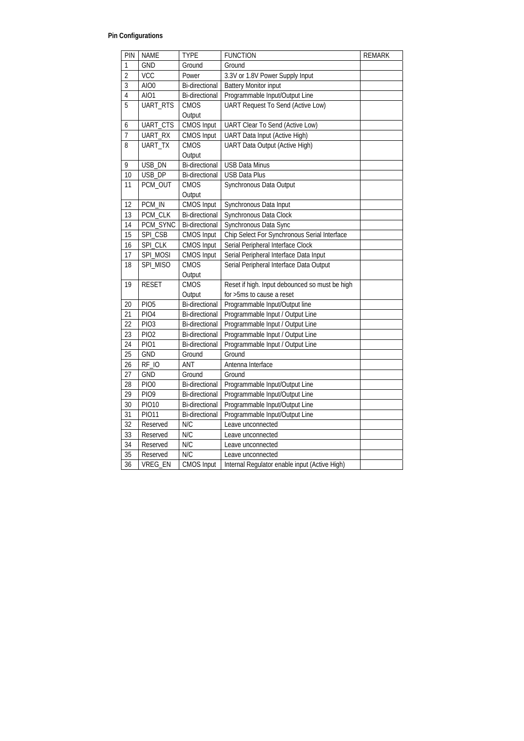## **Pin Configurations**

| PIN            | <b>NAME</b>      | <b>TYPE</b>           | <b>FUNCTION</b>                                | <b>REMARK</b> |
|----------------|------------------|-----------------------|------------------------------------------------|---------------|
| 1              | <b>GND</b>       | Ground                | Ground                                         |               |
| $\overline{2}$ | <b>VCC</b>       | Power                 | 3.3V or 1.8V Power Supply Input                |               |
| 3              | AIO0             | <b>Bi-directional</b> | <b>Battery Monitor input</b>                   |               |
| $\overline{4}$ | AIO1             | <b>Bi-directional</b> | Programmable Input/Output Line                 |               |
| 5              | UART_RTS         | <b>CMOS</b>           | <b>UART Request To Send (Active Low)</b>       |               |
|                |                  | Output                |                                                |               |
| 6              | UART_CTS         | <b>CMOS Input</b>     | UART Clear To Send (Active Low)                |               |
| $\overline{7}$ | UART_RX          | <b>CMOS Input</b>     | <b>UART Data Input (Active High)</b>           |               |
| 8              | <b>UART TX</b>   | <b>CMOS</b>           | <b>UART Data Output (Active High)</b>          |               |
|                |                  | Output                |                                                |               |
| 9              | USB_DN           | Bi-directional        | <b>USB Data Minus</b>                          |               |
| 10             | USB DP           | <b>Bi-directional</b> | <b>USB Data Plus</b>                           |               |
| 11             | PCM_OUT          | <b>CMOS</b>           | Synchronous Data Output                        |               |
|                |                  | Output                |                                                |               |
| 12             | PCM_IN           | <b>CMOS Input</b>     | Synchronous Data Input                         |               |
| 13             | PCM_CLK          | <b>Bi-directional</b> | Synchronous Data Clock                         |               |
| 14             | PCM_SYNC         | <b>Bi-directional</b> | Synchronous Data Sync                          |               |
| 15             | SPI_CSB          | <b>CMOS Input</b>     | Chip Select For Synchronous Serial Interface   |               |
| 16             | SPI_CLK          | <b>CMOS Input</b>     | Serial Peripheral Interface Clock              |               |
| 17             | SPI_MOSI         | <b>CMOS Input</b>     | Serial Peripheral Interface Data Input         |               |
| 18             | SPI_MISO         | <b>CMOS</b>           | Serial Peripheral Interface Data Output        |               |
|                |                  | Output                |                                                |               |
| 19             | <b>RESET</b>     | <b>CMOS</b>           | Reset if high. Input debounced so must be high |               |
|                |                  | Output                | for >5ms to cause a reset                      |               |
| 20             | PIO <sub>5</sub> | <b>Bi-directional</b> | Programmable Input/Output line                 |               |
| 21             | PIO <sub>4</sub> | <b>Bi-directional</b> | Programmable Input / Output Line               |               |
| 22             | PIO <sub>3</sub> | <b>Bi-directional</b> | Programmable Input / Output Line               |               |
| 23             | <b>PIO2</b>      | <b>Bi-directional</b> | Programmable Input / Output Line               |               |
| 24             | <b>PIO1</b>      | <b>Bi-directional</b> | Programmable Input / Output Line               |               |
| 25             | <b>GND</b>       | Ground                | Ground                                         |               |
| 26             | RF_IO            | ANT                   | Antenna Interface                              |               |
| 27             | <b>GND</b>       | Ground                | Ground                                         |               |
| 28             | PIO <sub>0</sub> | <b>Bi-directional</b> | Programmable Input/Output Line                 |               |
| 29             | PIO <sub>9</sub> | <b>Bi-directional</b> | Programmable Input/Output Line                 |               |
| 30             | <b>PIO10</b>     | Bi-directional        | Programmable Input/Output Line                 |               |
| 31             | <b>PIO11</b>     | <b>Bi-directional</b> | Programmable Input/Output Line                 |               |
| 32             | Reserved         | N/C                   | Leave unconnected                              |               |
| 33             | Reserved         | N/C                   | Leave unconnected                              |               |
| 34             | Reserved         | N/C                   | Leave unconnected                              |               |
| 35             | Reserved         | N/C                   | Leave unconnected                              |               |
| 36             | VREG_EN          | <b>CMOS Input</b>     | Internal Regulator enable input (Active High)  |               |